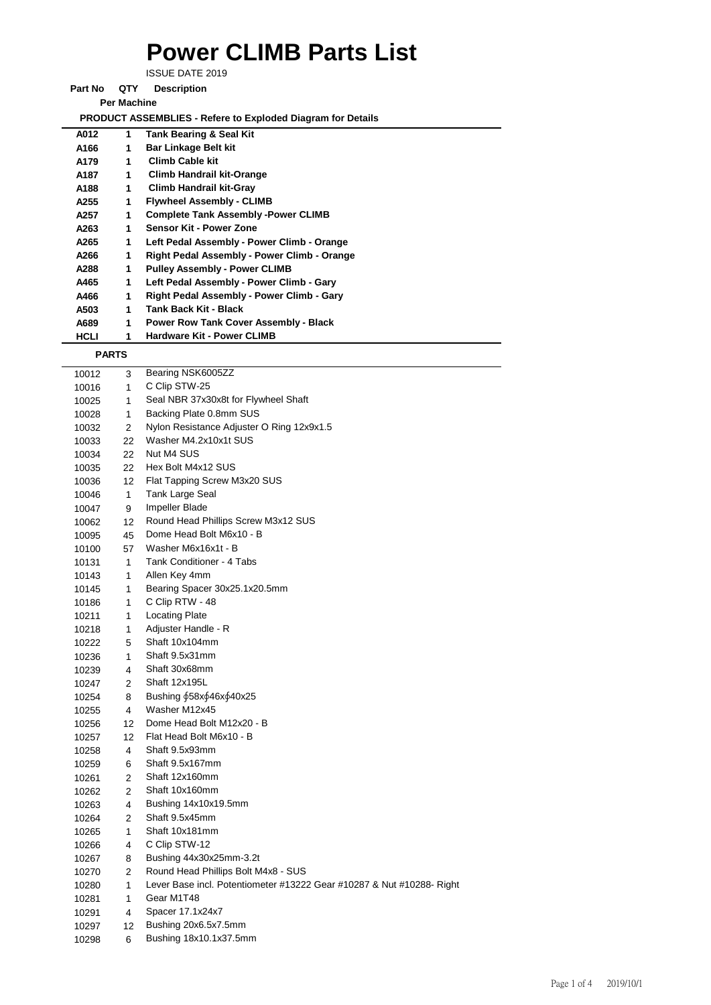## **Power CLIMB Parts List**

ISSUE DATE 2019

**Part No QTY Description** 

**Per Machine**

 **PRODUCT ASSEMBLIES - Refere to Exploded Diagram for Details** 

| A012 | 1 | <b>Tank Bearing &amp; Seal Kit</b>           |
|------|---|----------------------------------------------|
| A166 | 1 | <b>Bar Linkage Belt kit</b>                  |
| A179 | 1 | <b>Climb Cable kit</b>                       |
| A187 | 1 | <b>Climb Handrail kit-Orange</b>             |
| A188 | 1 | <b>Climb Handrail kit-Gray</b>               |
| A255 | 1 | <b>Flywheel Assembly - CLIMB</b>             |
| A257 | 1 | <b>Complete Tank Assembly -Power CLIMB</b>   |
| A263 | 1 | Sensor Kit - Power Zone                      |
| A265 | 1 | Left Pedal Assembly - Power Climb - Orange   |
| A266 | 1 | Right Pedal Assembly - Power Climb - Orange  |
| A288 | 1 | <b>Pulley Assembly - Power CLIMB</b>         |
| A465 | 1 | Left Pedal Assembly - Power Climb - Gary     |
| A466 | 1 | Right Pedal Assembly - Power Climb - Gary    |
| A503 | 1 | Tank Back Kit - Black                        |
| A689 | 1 | <b>Power Row Tank Cover Assembly - Black</b> |
| HCLI |   | <b>Hardware Kit - Power CLIMB</b>            |

 **PARTS**

| 10012 | 3                 | Bearing NSK6005ZZ                                                     |
|-------|-------------------|-----------------------------------------------------------------------|
| 10016 | 1                 | C Clip STW-25                                                         |
| 10025 | 1                 | Seal NBR 37x30x8t for Flywheel Shaft                                  |
| 10028 | 1                 | Backing Plate 0.8mm SUS                                               |
| 10032 | 2                 | Nylon Resistance Adjuster O Ring 12x9x1.5                             |
| 10033 | 22                | Washer M4.2x10x1t SUS                                                 |
| 10034 | 22                | Nut M4 SUS                                                            |
| 10035 | 22                | Hex Bolt M4x12 SUS                                                    |
| 10036 | $12 \overline{ }$ | Flat Tapping Screw M3x20 SUS                                          |
| 10046 | 1                 | Tank Large Seal                                                       |
| 10047 | 9                 | Impeller Blade                                                        |
| 10062 | 12                | Round Head Phillips Screw M3x12 SUS                                   |
| 10095 | 45                | Dome Head Bolt M6x10 - B                                              |
| 10100 | 57                | Washer M6x16x1t - B                                                   |
| 10131 | 1                 | Tank Conditioner - 4 Tabs                                             |
| 10143 | 1                 | Allen Key 4mm                                                         |
| 10145 | 1                 | Bearing Spacer 30x25.1x20.5mm                                         |
| 10186 | 1                 | C Clip RTW - 48                                                       |
| 10211 | 1                 | <b>Locating Plate</b>                                                 |
| 10218 | 1                 | Adjuster Handle - R                                                   |
| 10222 | 5                 | Shaft 10x104mm                                                        |
| 10236 | $\mathbf{1}$      | Shaft 9.5x31mm                                                        |
| 10239 | 4                 | Shaft 30x68mm                                                         |
| 10247 | 2                 | Shaft 12x195L                                                         |
| 10254 | 8                 | Bushing 658x646x640x25                                                |
| 10255 | 4                 | Washer M12x45                                                         |
| 10256 | $12 \overline{ }$ | Dome Head Bolt M12x20 - B                                             |
| 10257 | 12                | Flat Head Bolt M6x10 - B                                              |
| 10258 | 4                 | Shaft 9.5x93mm                                                        |
| 10259 | 6                 | Shaft 9.5x167mm                                                       |
| 10261 | 2                 | Shaft 12x160mm                                                        |
| 10262 | 2                 | Shaft 10x160mm                                                        |
| 10263 | 4                 | Bushing 14x10x19.5mm                                                  |
| 10264 | 2                 | Shaft 9.5x45mm                                                        |
| 10265 | 1                 | Shaft 10x181mm                                                        |
| 10266 | 4                 | C Clip STW-12                                                         |
| 10267 | 8                 | Bushing 44x30x25mm-3.2t                                               |
| 10270 | 2                 | Round Head Phillips Bolt M4x8 - SUS                                   |
| 10280 | 1                 | Lever Base incl. Potentiometer #13222 Gear #10287 & Nut #10288- Right |
| 10281 | 1                 | Gear M1T48                                                            |
| 10291 | 4                 | Spacer 17.1x24x7                                                      |
| 10297 | 12                | Bushing 20x6.5x7.5mm                                                  |
| 10298 | 6                 | Bushing 18x10.1x37.5mm                                                |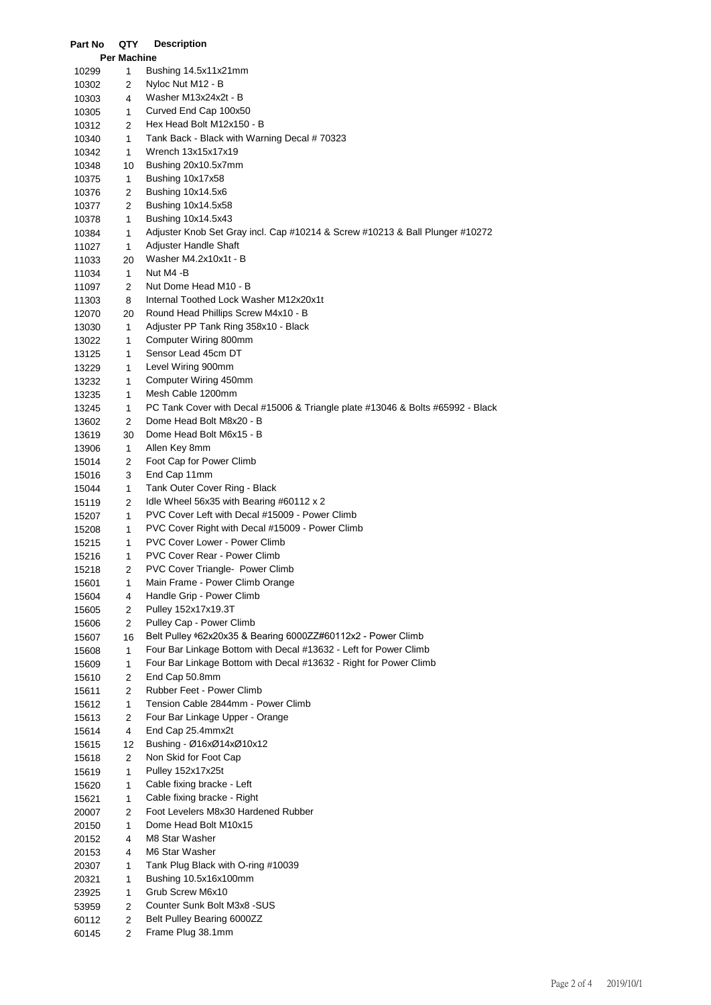| Part No        | QTY          | <b>Description</b>                                                             |
|----------------|--------------|--------------------------------------------------------------------------------|
|                | Per Machine  |                                                                                |
| 10299          | 1            | Bushing 14.5x11x21mm                                                           |
| 10302          | 2            | Nyloc Nut M12 - B                                                              |
| 10303          | 4            | Washer M13x24x2t - B                                                           |
| 10305          | 1            | Curved End Cap 100x50                                                          |
| 10312          | 2            | Hex Head Bolt M12x150 - B                                                      |
| 10340          | 1            | Tank Back - Black with Warning Decal # 70323                                   |
| 10342          | 1            | Wrench 13x15x17x19                                                             |
| 10348          | 10           | Bushing 20x10.5x7mm                                                            |
| 10375          | 1            | Bushing 10x17x58                                                               |
| 10376          | 2            | Bushing 10x14.5x6                                                              |
| 10377          | 2            | Bushing 10x14.5x58                                                             |
| 10378          | 1            | Bushing 10x14.5x43                                                             |
| 10384          | 1            | Adjuster Knob Set Gray incl. Cap #10214 & Screw #10213 & Ball Plunger #10272   |
| 11027          | 1            | Adjuster Handle Shaft                                                          |
| 11033          | 20           | Washer M4.2x10x1t - B                                                          |
| 11034          | 1            | Nut M4 -B                                                                      |
| 11097          | 2            | Nut Dome Head M10 - B                                                          |
| 11303          | 8            | Internal Toothed Lock Washer M12x20x1t                                         |
| 12070          | 20           | Round Head Phillips Screw M4x10 - B                                            |
| 13030          | 1            | Adjuster PP Tank Ring 358x10 - Black                                           |
| 13022          | 1            | Computer Wiring 800mm                                                          |
| 13125          | 1            | Sensor Lead 45cm DT                                                            |
| 13229          | 1            | Level Wiring 900mm                                                             |
| 13232          | 1            | Computer Wiring 450mm                                                          |
| 13235          | 1            | Mesh Cable 1200mm                                                              |
| 13245          | 1            | PC Tank Cover with Decal #15006 & Triangle plate #13046 & Bolts #65992 - Black |
| 13602          | 2            | Dome Head Bolt M8x20 - B                                                       |
| 13619          | 30           | Dome Head Bolt M6x15 - B                                                       |
| 13906          | 1            | Allen Key 8mm                                                                  |
| 15014          | 2            | Foot Cap for Power Climb                                                       |
| 15016          | 3            | End Cap 11mm                                                                   |
| 15044          | 1            | Tank Outer Cover Ring - Black<br>Idle Wheel 56x35 with Bearing #60112 x 2      |
| 15119          | 2            | PVC Cover Left with Decal #15009 - Power Climb                                 |
| 15207          | 1            | PVC Cover Right with Decal #15009 - Power Climb                                |
| 15208          | 1<br>1       | PVC Cover Lower - Power Climb                                                  |
| 15215<br>15216 | 1            | <b>PVC Cover Rear - Power Climb</b>                                            |
| 15218          | 2            | PVC Cover Triangle- Power Climb                                                |
| 15601          | 1            | Main Frame - Power Climb Orange                                                |
| 15604          | 4            | Handle Grip - Power Climb                                                      |
| 15605          | 2            | Pulley 152x17x19.3T                                                            |
| 15606          | 2            | Pulley Cap - Power Climb                                                       |
| 15607          | 16           | Belt Pulley \$62x20x35 & Bearing 6000ZZ#60112x2 - Power Climb                  |
| 15608          | 1            | Four Bar Linkage Bottom with Decal #13632 - Left for Power Climb               |
| 15609          | 1            | Four Bar Linkage Bottom with Decal #13632 - Right for Power Climb              |
| 15610          | 2            | End Cap 50.8mm                                                                 |
| 15611          | 2            | Rubber Feet - Power Climb                                                      |
| 15612          | 1            | Tension Cable 2844mm - Power Climb                                             |
| 15613          | 2            | Four Bar Linkage Upper - Orange                                                |
| 15614          | 4            | End Cap 25.4mmx2t                                                              |
| 15615          | 12           | Bushing - Ø16xØ14xØ10x12                                                       |
| 15618          | 2            | Non Skid for Foot Cap                                                          |
| 15619          | 1            | Pulley 152x17x25t                                                              |
| 15620          | 1            | Cable fixing bracke - Left                                                     |
| 15621          | 1            | Cable fixing bracke - Right                                                    |
| 20007          | 2            | Foot Levelers M8x30 Hardened Rubber                                            |
| 20150          | 1            | Dome Head Bolt M10x15                                                          |
| 20152          | 4            | M8 Star Washer                                                                 |
| 20153          | 4            | M6 Star Washer                                                                 |
| 20307          | 1            | Tank Plug Black with O-ring #10039                                             |
| 20321          | 1            | Bushing 10.5x16x100mm                                                          |
| 23925          | 1            | Grub Screw M6x10                                                               |
| 53959          | 2            | Counter Sunk Bolt M3x8 - SUS                                                   |
| 60112          | $\mathbf{2}$ | Belt Pulley Bearing 6000ZZ                                                     |
| 60145          | 2            | Frame Plug 38.1mm                                                              |
|                |              |                                                                                |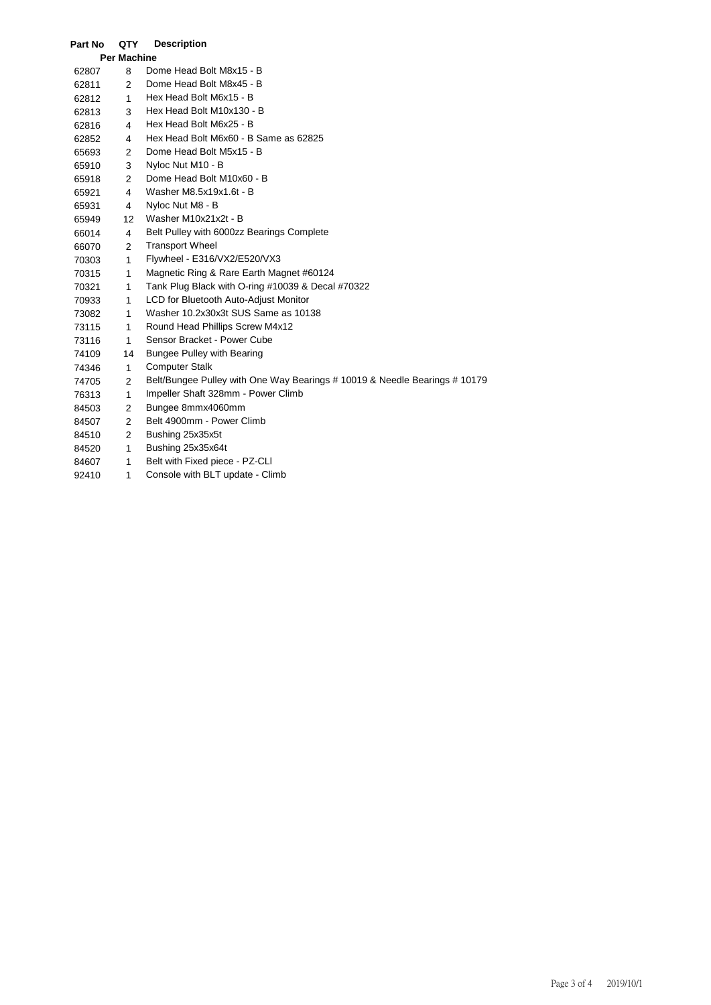| Part No            | QTY            | <b>Description</b>                                                         |  |  |  |
|--------------------|----------------|----------------------------------------------------------------------------|--|--|--|
| <b>Per Machine</b> |                |                                                                            |  |  |  |
| 62807              | 8              | Dome Head Bolt M8x15 - B                                                   |  |  |  |
| 62811              | 2              | Dome Head Bolt M8x45 - B                                                   |  |  |  |
| 62812              | $\mathbf{1}$   | Hex Head Bolt M6x15 - B                                                    |  |  |  |
| 62813              | 3              | Hex Head Bolt M10x130 - B                                                  |  |  |  |
| 62816              | 4              | Hex Head Bolt M6x25 - B                                                    |  |  |  |
| 62852              | 4              | Hex Head Bolt M6x60 - B Same as 62825                                      |  |  |  |
| 65693              | $\overline{2}$ | Dome Head Bolt M5x15 - B                                                   |  |  |  |
| 65910              | 3              | Nyloc Nut M10 - B                                                          |  |  |  |
| 65918              | 2              | Dome Head Bolt M10x60 - B                                                  |  |  |  |
| 65921              | 4              | Washer M8.5x19x1.6t - B                                                    |  |  |  |
| 65931              | 4              | Nyloc Nut M8 - B                                                           |  |  |  |
| 65949              | 12             | Washer M10x21x2t - B                                                       |  |  |  |
| 66014              | $\overline{4}$ | Belt Pulley with 6000zz Bearings Complete                                  |  |  |  |
| 66070              | $\overline{2}$ | <b>Transport Wheel</b>                                                     |  |  |  |
| 70303              | $\mathbf{1}$   | Flywheel - E316/VX2/E520/VX3                                               |  |  |  |
| 70315              | 1              | Magnetic Ring & Rare Earth Magnet #60124                                   |  |  |  |
| 70321              | $\mathbf{1}$   | Tank Plug Black with O-ring #10039 & Decal #70322                          |  |  |  |
| 70933              | $\mathbf{1}$   | LCD for Bluetooth Auto-Adjust Monitor                                      |  |  |  |
| 73082              | 1              | Washer 10.2x30x3t SUS Same as 10138                                        |  |  |  |
| 73115              | $\mathbf{1}$   | Round Head Phillips Screw M4x12                                            |  |  |  |
| 73116              | $\mathbf{1}$   | Sensor Bracket - Power Cube                                                |  |  |  |
| 74109              | 14             | <b>Bungee Pulley with Bearing</b>                                          |  |  |  |
| 74346              | 1              | <b>Computer Stalk</b>                                                      |  |  |  |
| 74705              | $\overline{2}$ | Belt/Bungee Pulley with One Way Bearings # 10019 & Needle Bearings # 10179 |  |  |  |
| 76313              | 1              | Impeller Shaft 328mm - Power Climb                                         |  |  |  |
| 84503              | $\overline{2}$ | Bungee 8mmx4060mm                                                          |  |  |  |
| 84507              | $\overline{2}$ | Belt 4900mm - Power Climb                                                  |  |  |  |
| 84510              | $\overline{2}$ | Bushing 25x35x5t                                                           |  |  |  |
| 84520              | $\mathbf{1}$   | Bushing 25x35x64t                                                          |  |  |  |
| 84607              | 1              | Belt with Fixed piece - PZ-CLI                                             |  |  |  |
| 92410              | 1              | Console with BLT update - Climb                                            |  |  |  |